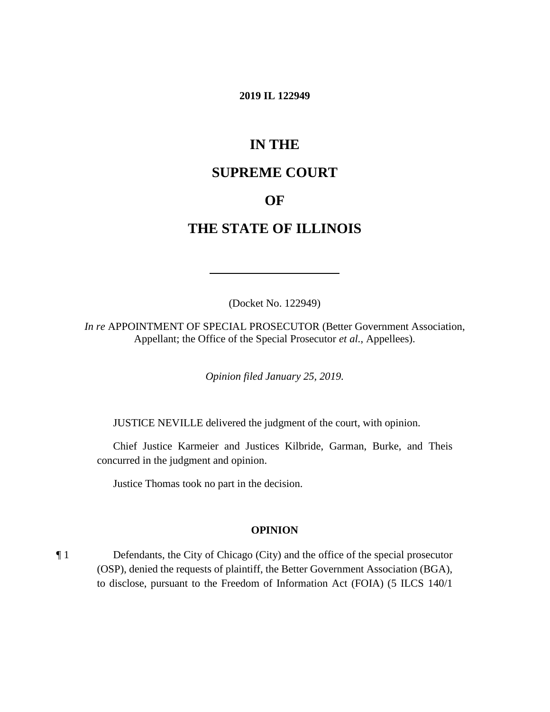#### **2019 IL 122949**

# **IN THE**

# **SUPREME COURT**

### **OF**

### **THE STATE OF ILLINOIS**

(Docket No. 122949)

*In re* APPOINTMENT OF SPECIAL PROSECUTOR (Better Government Association, Appellant; the Office of the Special Prosecutor *et al.*, Appellees).

*Opinion filed January 25, 2019.*

JUSTICE NEVILLE delivered the judgment of the court, with opinion.

Chief Justice Karmeier and Justices Kilbride, Garman, Burke, and Theis concurred in the judgment and opinion.

Justice Thomas took no part in the decision.

#### **OPINION**

¶ 1 Defendants, the City of Chicago (City) and the office of the special prosecutor (OSP), denied the requests of plaintiff, the Better Government Association (BGA), to disclose, pursuant to the Freedom of Information Act (FOIA) (5 ILCS 140/1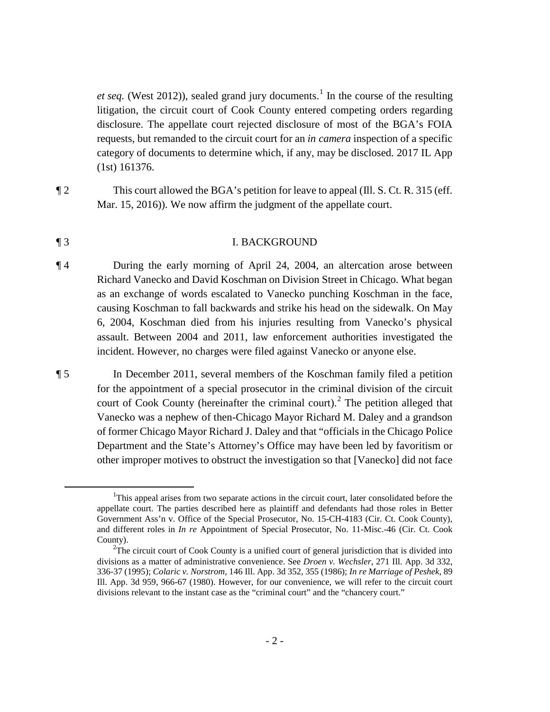*et seq.* (West 20[1](#page-1-0)2)), sealed grand jury documents.<sup>1</sup> In the course of the resulting litigation, the circuit court of Cook County entered competing orders regarding disclosure. The appellate court rejected disclosure of most of the BGA's FOIA requests, but remanded to the circuit court for an *in camera* inspection of a specific category of documents to determine which, if any, may be disclosed. 2017 IL App (1st) 161376.

¶ 2 This court allowed the BGA's petition for leave to appeal (Ill. S. Ct. R. 315 (eff. Mar. 15, 2016)). We now affirm the judgment of the appellate court.

#### ¶ 3 I. BACKGROUND

¶ 4 During the early morning of April 24, 2004, an altercation arose between Richard Vanecko and David Koschman on Division Street in Chicago. What began as an exchange of words escalated to Vanecko punching Koschman in the face, causing Koschman to fall backwards and strike his head on the sidewalk. On May 6, 2004, Koschman died from his injuries resulting from Vanecko's physical assault. Between 2004 and 2011, law enforcement authorities investigated the incident. However, no charges were filed against Vanecko or anyone else.

¶ 5 In December 2011, several members of the Koschman family filed a petition for the appointment of a special prosecutor in the criminal division of the circuit court of Cook County (hereinafter the criminal court).<sup>[2](#page-1-1)</sup> The petition alleged that Vanecko was a nephew of then-Chicago Mayor Richard M. Daley and a grandson of former Chicago Mayor Richard J. Daley and that "officials in the Chicago Police Department and the State's Attorney's Office may have been led by favoritism or other improper motives to obstruct the investigation so that [Vanecko] did not face

<span id="page-1-1"></span><span id="page-1-0"></span> <sup>1</sup> This appeal arises from two separate actions in the circuit court, later consolidated before the appellate court. The parties described here as plaintiff and defendants had those roles in Better Government Ass'n v. Office of the Special Prosecutor, No. 15-CH-4183 (Cir. Ct. Cook County), and different roles in *In re* Appointment of Special Prosecutor, No. 11-Misc.-46 (Cir. Ct. Cook County).

 $2^2$ The circuit court of Cook County is a unified court of general jurisdiction that is divided into divisions as a matter of administrative convenience. See *Droen v. Wechsler*, 271 Ill. App. 3d 332, 336-37 (1995); *Colaric v. Norstrom*, 146 Ill. App. 3d 352, 355 (1986); *In re Marriage of Peshek*, 89 Ill. App. 3d 959, 966-67 (1980). However, for our convenience, we will refer to the circuit court divisions relevant to the instant case as the "criminal court" and the "chancery court."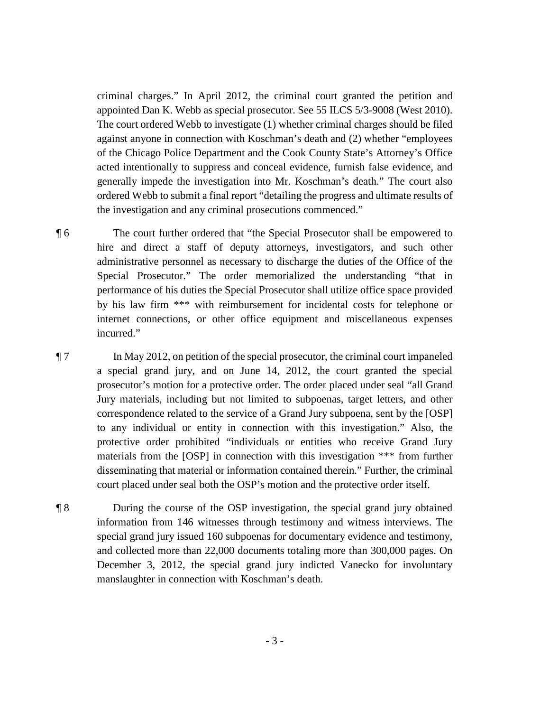criminal charges." In April 2012, the criminal court granted the petition and appointed Dan K. Webb as special prosecutor. See 55 ILCS 5/3-9008 (West 2010). The court ordered Webb to investigate (1) whether criminal charges should be filed against anyone in connection with Koschman's death and (2) whether "employees of the Chicago Police Department and the Cook County State's Attorney's Office acted intentionally to suppress and conceal evidence, furnish false evidence, and generally impede the investigation into Mr. Koschman's death." The court also ordered Webb to submit a final report "detailing the progress and ultimate results of the investigation and any criminal prosecutions commenced."

¶ 6 The court further ordered that "the Special Prosecutor shall be empowered to hire and direct a staff of deputy attorneys, investigators, and such other administrative personnel as necessary to discharge the duties of the Office of the Special Prosecutor." The order memorialized the understanding "that in performance of his duties the Special Prosecutor shall utilize office space provided by his law firm \*\*\* with reimbursement for incidental costs for telephone or internet connections, or other office equipment and miscellaneous expenses incurred."

¶ 7 In May 2012, on petition of the special prosecutor, the criminal court impaneled a special grand jury, and on June 14, 2012, the court granted the special prosecutor's motion for a protective order. The order placed under seal "all Grand Jury materials, including but not limited to subpoenas, target letters, and other correspondence related to the service of a Grand Jury subpoena, sent by the [OSP] to any individual or entity in connection with this investigation." Also, the protective order prohibited "individuals or entities who receive Grand Jury materials from the [OSP] in connection with this investigation \*\*\* from further disseminating that material or information contained therein." Further, the criminal court placed under seal both the OSP's motion and the protective order itself.

¶ 8 During the course of the OSP investigation, the special grand jury obtained information from 146 witnesses through testimony and witness interviews. The special grand jury issued 160 subpoenas for documentary evidence and testimony, and collected more than 22,000 documents totaling more than 300,000 pages. On December 3, 2012, the special grand jury indicted Vanecko for involuntary manslaughter in connection with Koschman's death.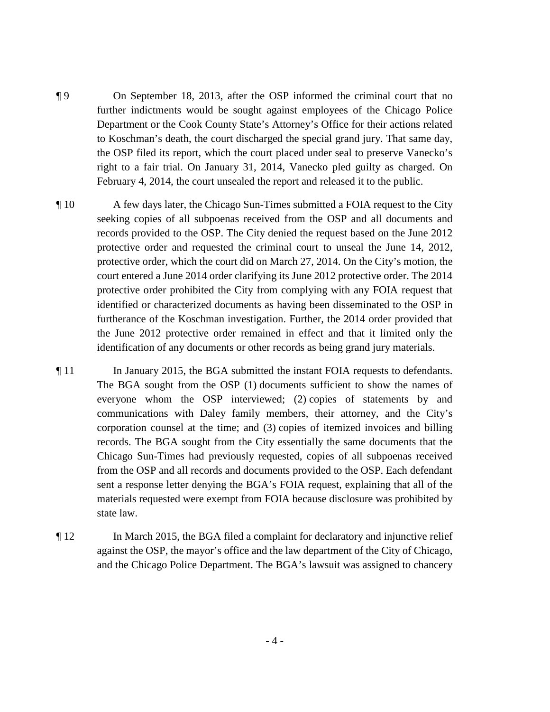- ¶ 9 On September 18, 2013, after the OSP informed the criminal court that no further indictments would be sought against employees of the Chicago Police Department or the Cook County State's Attorney's Office for their actions related to Koschman's death, the court discharged the special grand jury. That same day, the OSP filed its report, which the court placed under seal to preserve Vanecko's right to a fair trial. On January 31, 2014, Vanecko pled guilty as charged. On February 4, 2014, the court unsealed the report and released it to the public.
- ¶ 10 A few days later, the Chicago Sun-Times submitted a FOIA request to the City seeking copies of all subpoenas received from the OSP and all documents and records provided to the OSP. The City denied the request based on the June 2012 protective order and requested the criminal court to unseal the June 14, 2012, protective order, which the court did on March 27, 2014. On the City's motion, the court entered a June 2014 order clarifying its June 2012 protective order. The 2014 protective order prohibited the City from complying with any FOIA request that identified or characterized documents as having been disseminated to the OSP in furtherance of the Koschman investigation. Further, the 2014 order provided that the June 2012 protective order remained in effect and that it limited only the identification of any documents or other records as being grand jury materials.
- ¶ 11 In January 2015, the BGA submitted the instant FOIA requests to defendants. The BGA sought from the OSP (1) documents sufficient to show the names of everyone whom the OSP interviewed; (2) copies of statements by and communications with Daley family members, their attorney, and the City's corporation counsel at the time; and (3) copies of itemized invoices and billing records. The BGA sought from the City essentially the same documents that the Chicago Sun-Times had previously requested, copies of all subpoenas received from the OSP and all records and documents provided to the OSP. Each defendant sent a response letter denying the BGA's FOIA request, explaining that all of the materials requested were exempt from FOIA because disclosure was prohibited by state law.
- ¶ 12 In March 2015, the BGA filed a complaint for declaratory and injunctive relief against the OSP, the mayor's office and the law department of the City of Chicago, and the Chicago Police Department. The BGA's lawsuit was assigned to chancery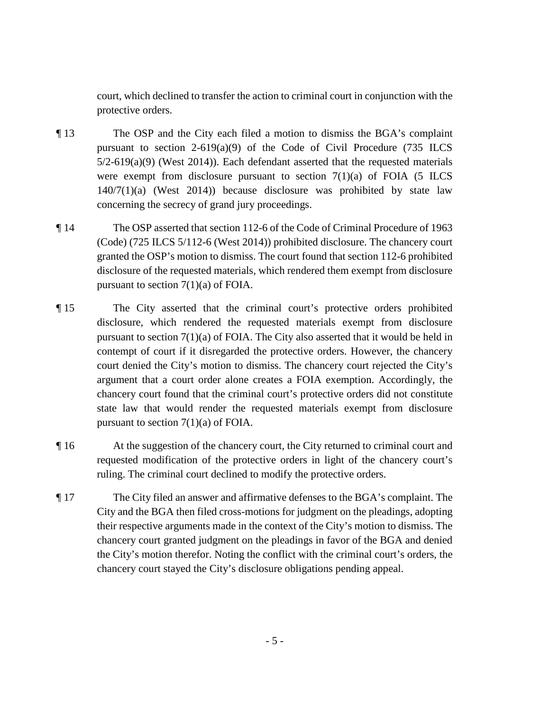court, which declined to transfer the action to criminal court in conjunction with the protective orders.

- ¶ 13 The OSP and the City each filed a motion to dismiss the BGA's complaint pursuant to section  $2-619(a)(9)$  of the Code of Civil Procedure (735 ILCS  $5/2-619(a)(9)$  (West 2014)). Each defendant asserted that the requested materials were exempt from disclosure pursuant to section  $7(1)(a)$  of FOIA (5 ILCS 140/7(1)(a) (West 2014)) because disclosure was prohibited by state law concerning the secrecy of grand jury proceedings.
- ¶ 14 The OSP asserted that section 112-6 of the Code of Criminal Procedure of 1963 (Code) (725 ILCS 5/112-6 (West 2014)) prohibited disclosure. The chancery court granted the OSP's motion to dismiss. The court found that section 112-6 prohibited disclosure of the requested materials, which rendered them exempt from disclosure pursuant to section  $7(1)(a)$  of FOIA.
- ¶ 15 The City asserted that the criminal court's protective orders prohibited disclosure, which rendered the requested materials exempt from disclosure pursuant to section 7(1)(a) of FOIA. The City also asserted that it would be held in contempt of court if it disregarded the protective orders. However, the chancery court denied the City's motion to dismiss. The chancery court rejected the City's argument that a court order alone creates a FOIA exemption. Accordingly, the chancery court found that the criminal court's protective orders did not constitute state law that would render the requested materials exempt from disclosure pursuant to section  $7(1)(a)$  of FOIA.
- ¶ 16 At the suggestion of the chancery court, the City returned to criminal court and requested modification of the protective orders in light of the chancery court's ruling. The criminal court declined to modify the protective orders.
- ¶ 17 The City filed an answer and affirmative defenses to the BGA's complaint. The City and the BGA then filed cross-motions for judgment on the pleadings, adopting their respective arguments made in the context of the City's motion to dismiss. The chancery court granted judgment on the pleadings in favor of the BGA and denied the City's motion therefor. Noting the conflict with the criminal court's orders, the chancery court stayed the City's disclosure obligations pending appeal.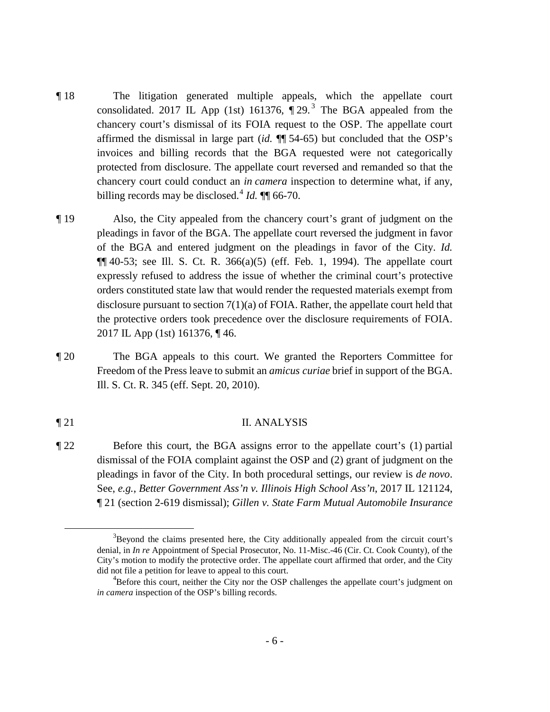- ¶ 18 The litigation generated multiple appeals, which the appellate court consolidated. 2017 IL App (1st) 161[3](#page-5-0)76,  $\P$  29.<sup>3</sup> The BGA appealed from the chancery court's dismissal of its FOIA request to the OSP. The appellate court affirmed the dismissal in large part (*id.* ¶¶ 54-65) but concluded that the OSP's invoices and billing records that the BGA requested were not categorically protected from disclosure. The appellate court reversed and remanded so that the chancery court could conduct an *in camera* inspection to determine what, if any, billing records may be disclosed.<sup>[4](#page-5-1)</sup> *Id.*  $\P$  66-70.
- ¶ 19 Also, the City appealed from the chancery court's grant of judgment on the pleadings in favor of the BGA. The appellate court reversed the judgment in favor of the BGA and entered judgment on the pleadings in favor of the City. *Id.*  $\P\P$  40-53; see Ill. S. Ct. R. 366(a)(5) (eff. Feb. 1, 1994). The appellate court expressly refused to address the issue of whether the criminal court's protective orders constituted state law that would render the requested materials exempt from disclosure pursuant to section 7(1)(a) of FOIA. Rather, the appellate court held that the protective orders took precedence over the disclosure requirements of FOIA. 2017 IL App (1st) 161376, ¶ 46.
- ¶ 20 The BGA appeals to this court. We granted the Reporters Committee for Freedom of the Press leave to submit an *amicus curiae* brief in support of the BGA. Ill. S. Ct. R. 345 (eff. Sept. 20, 2010).

### ¶ 21 II. ANALYSIS

¶ 22 Before this court, the BGA assigns error to the appellate court's (1) partial dismissal of the FOIA complaint against the OSP and (2) grant of judgment on the pleadings in favor of the City. In both procedural settings, our review is *de novo*. See, *e.g.*, *Better Government Ass'n v. Illinois High School Ass'n*, 2017 IL 121124, ¶ 21 (section 2-619 dismissal); *Gillen v. State Farm Mutual Automobile Insurance* 

<span id="page-5-1"></span><span id="page-5-0"></span> <sup>3</sup>  $B^3$ Beyond the claims presented here, the City additionally appealed from the circuit court's denial, in *In re* Appointment of Special Prosecutor, No. 11-Misc.-46 (Cir. Ct. Cook County), of the City's motion to modify the protective order. The appellate court affirmed that order, and the City did not file a petition for leave to appeal to this court.

<sup>&</sup>lt;sup>4</sup>Before this court, neither the City nor the OSP challenges the appellate court's judgment on *in camera* inspection of the OSP's billing records.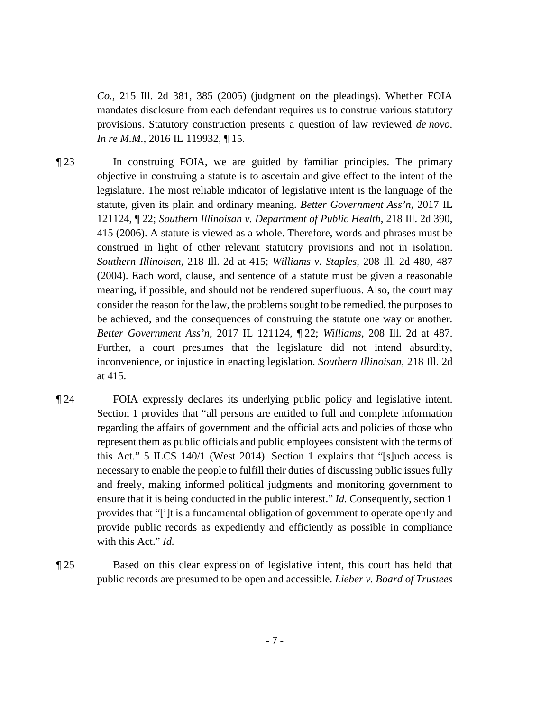*Co.*, 215 Ill. 2d 381, 385 (2005) (judgment on the pleadings). Whether FOIA mandates disclosure from each defendant requires us to construe various statutory provisions. Statutory construction presents a question of law reviewed *de novo*. *In re M.M.*, 2016 IL 119932, ¶ 15.

- ¶ 23 In construing FOIA, we are guided by familiar principles. The primary objective in construing a statute is to ascertain and give effect to the intent of the legislature. The most reliable indicator of legislative intent is the language of the statute, given its plain and ordinary meaning. *Better Government Ass'n*, 2017 IL 121124, ¶ 22; *Southern Illinoisan v. Department of Public Health*, 218 Ill. 2d 390, 415 (2006). A statute is viewed as a whole. Therefore, words and phrases must be construed in light of other relevant statutory provisions and not in isolation. *Southern Illinoisan*, 218 Ill. 2d at 415; *Williams v. Staples*, 208 Ill. 2d 480, 487 (2004). Each word, clause, and sentence of a statute must be given a reasonable meaning, if possible, and should not be rendered superfluous. Also, the court may consider the reason for the law, the problems sought to be remedied, the purposes to be achieved, and the consequences of construing the statute one way or another. *Better Government Ass'n*, 2017 IL 121124, ¶ 22; *Williams*, 208 Ill. 2d at 487. Further, a court presumes that the legislature did not intend absurdity, inconvenience, or injustice in enacting legislation. *Southern Illinoisan*, 218 Ill. 2d at 415.
- ¶ 24 FOIA expressly declares its underlying public policy and legislative intent. Section 1 provides that "all persons are entitled to full and complete information regarding the affairs of government and the official acts and policies of those who represent them as public officials and public employees consistent with the terms of this Act." 5 ILCS 140/1 (West 2014). Section 1 explains that "[s]uch access is necessary to enable the people to fulfill their duties of discussing public issues fully and freely, making informed political judgments and monitoring government to ensure that it is being conducted in the public interest." *Id.* Consequently, section 1 provides that "[i]t is a fundamental obligation of government to operate openly and provide public records as expediently and efficiently as possible in compliance with this Act." *Id.*
- ¶ 25 Based on this clear expression of legislative intent, this court has held that public records are presumed to be open and accessible. *Lieber v. Board of Trustees*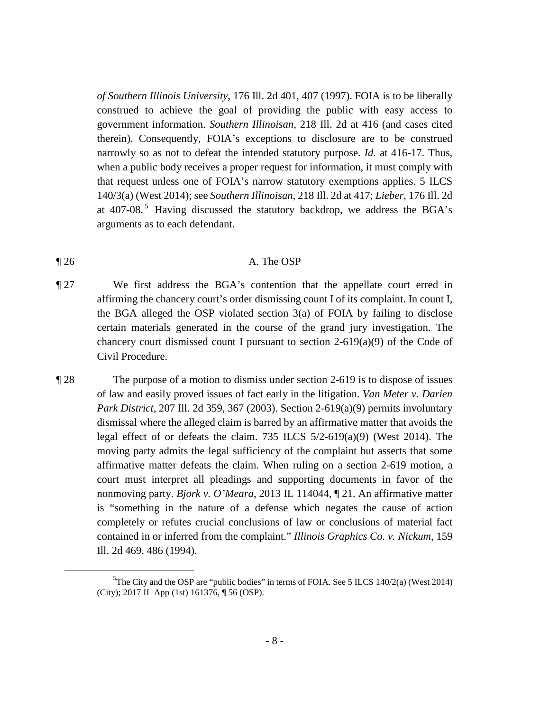*of Southern Illinois University*, 176 Ill. 2d 401, 407 (1997). FOIA is to be liberally construed to achieve the goal of providing the public with easy access to government information. *Southern Illinoisan*, 218 Ill. 2d at 416 (and cases cited therein). Consequently, FOIA's exceptions to disclosure are to be construed narrowly so as not to defeat the intended statutory purpose. *Id.* at 416-17. Thus, when a public body receives a proper request for information, it must comply with that request unless one of FOIA's narrow statutory exemptions applies. 5 ILCS 140/3(a) (West 2014); see *Southern Illinoisan*, 218 Ill. 2d at 417; *Lieber*, 176 Ill. 2d at 407-08. [5](#page-7-0) Having discussed the statutory backdrop, we address the BGA's arguments as to each defendant.

#### ¶ 26 A. The OSP

- ¶ 27 We first address the BGA's contention that the appellate court erred in affirming the chancery court's order dismissing count I of its complaint. In count I, the BGA alleged the OSP violated section 3(a) of FOIA by failing to disclose certain materials generated in the course of the grand jury investigation. The chancery court dismissed count I pursuant to section 2-619(a)(9) of the Code of Civil Procedure.
- ¶ 28 The purpose of a motion to dismiss under section 2-619 is to dispose of issues of law and easily proved issues of fact early in the litigation. *Van Meter v. Darien Park District*, 207 Ill. 2d 359, 367 (2003). Section 2-619(a)(9) permits involuntary dismissal where the alleged claim is barred by an affirmative matter that avoids the legal effect of or defeats the claim. 735 ILCS 5/2-619(a)(9) (West 2014). The moving party admits the legal sufficiency of the complaint but asserts that some affirmative matter defeats the claim. When ruling on a section 2-619 motion, a court must interpret all pleadings and supporting documents in favor of the nonmoving party. *Bjork v. O'Meara*, 2013 IL 114044, ¶ 21. An affirmative matter is "something in the nature of a defense which negates the cause of action completely or refutes crucial conclusions of law or conclusions of material fact contained in or inferred from the complaint." *Illinois Graphics Co. v. Nickum*, 159 Ill. 2d 469, 486 (1994).

<span id="page-7-0"></span> $\frac{1}{5}$ <sup>5</sup>The City and the OSP are "public bodies" in terms of FOIA. See 5 ILCS 140/2(a) (West 2014) (City); 2017 IL App (1st) 161376, ¶ 56 (OSP).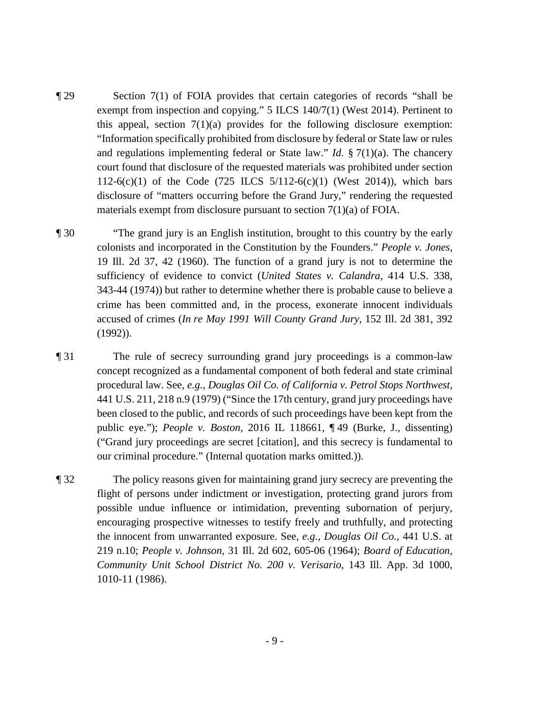- ¶ 29 Section 7(1) of FOIA provides that certain categories of records "shall be exempt from inspection and copying." 5 ILCS 140/7(1) (West 2014). Pertinent to this appeal, section  $7(1)(a)$  provides for the following disclosure exemption: "Information specifically prohibited from disclosure by federal or State law or rules and regulations implementing federal or State law." *Id.* § 7(1)(a). The chancery court found that disclosure of the requested materials was prohibited under section 112-6(c)(1) of the Code (725 ILCS  $5/112-6(c)(1)$  (West 2014)), which bars disclosure of "matters occurring before the Grand Jury," rendering the requested materials exempt from disclosure pursuant to section 7(1)(a) of FOIA.
- ¶ 30 "The grand jury is an English institution, brought to this country by the early colonists and incorporated in the Constitution by the Founders." *People v. Jones*, 19 Ill. 2d 37, 42 (1960). The function of a grand jury is not to determine the sufficiency of evidence to convict (*United States v. Calandra*, 414 U.S. 338, 343-44 (1974)) but rather to determine whether there is probable cause to believe a crime has been committed and, in the process, exonerate innocent individuals accused of crimes (*In re May 1991 Will County Grand Jury*, 152 Ill. 2d 381, 392 (1992)).
- ¶ 31 The rule of secrecy surrounding grand jury proceedings is a common-law concept recognized as a fundamental component of both federal and state criminal procedural law. See, *e.g.*, *Douglas Oil Co. of California v. Petrol Stops Northwest*, 441 U.S. 211, 218 n.9 (1979) ("Since the 17th century, grand jury proceedings have been closed to the public, and records of such proceedings have been kept from the public eye."); *People v. Boston*, 2016 IL 118661, ¶ 49 (Burke, J., dissenting) ("Grand jury proceedings are secret [citation], and this secrecy is fundamental to our criminal procedure." (Internal quotation marks omitted.)).
- ¶ 32 The policy reasons given for maintaining grand jury secrecy are preventing the flight of persons under indictment or investigation, protecting grand jurors from possible undue influence or intimidation, preventing subornation of perjury, encouraging prospective witnesses to testify freely and truthfully, and protecting the innocent from unwarranted exposure. See, *e.g.*, *Douglas Oil Co.*, 441 U.S. at 219 n.10; *People v. Johnson*, 31 Ill. 2d 602, 605-06 (1964); *Board of Education, Community Unit School District No. 200 v. Verisario*, 143 Ill. App. 3d 1000, 1010-11 (1986).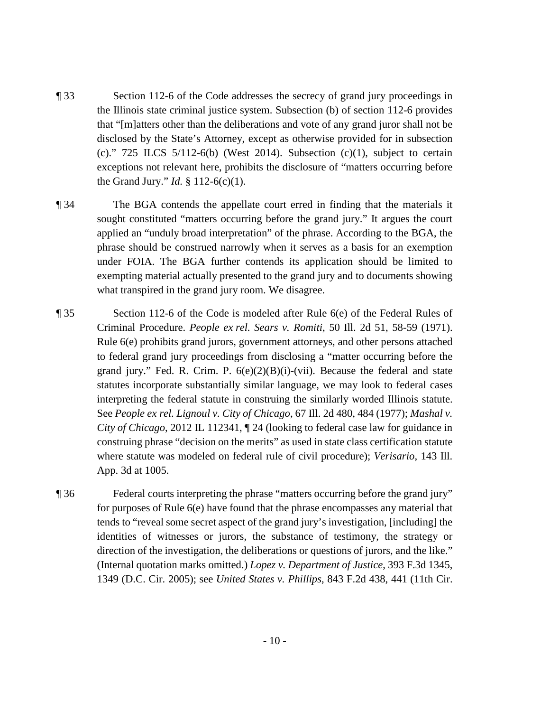- ¶ 33 Section 112-6 of the Code addresses the secrecy of grand jury proceedings in the Illinois state criminal justice system. Subsection (b) of section 112-6 provides that "[m]atters other than the deliberations and vote of any grand juror shall not be disclosed by the State's Attorney, except as otherwise provided for in subsection (c)."  $725$  ILCS  $5/112-6(b)$  (West 2014). Subsection (c)(1), subject to certain exceptions not relevant here, prohibits the disclosure of "matters occurring before the Grand Jury." *Id.* § 112-6(c)(1).
- ¶ 34 The BGA contends the appellate court erred in finding that the materials it sought constituted "matters occurring before the grand jury." It argues the court applied an "unduly broad interpretation" of the phrase. According to the BGA, the phrase should be construed narrowly when it serves as a basis for an exemption under FOIA. The BGA further contends its application should be limited to exempting material actually presented to the grand jury and to documents showing what transpired in the grand jury room. We disagree.
- ¶ 35 Section 112-6 of the Code is modeled after Rule 6(e) of the Federal Rules of Criminal Procedure. *People ex rel. Sears v. Romiti*, 50 Ill. 2d 51, 58-59 (1971). Rule 6(e) prohibits grand jurors, government attorneys, and other persons attached to federal grand jury proceedings from disclosing a "matter occurring before the grand jury." Fed. R. Crim. P.  $6(e)(2)(B)(i)-(vii)$ . Because the federal and state statutes incorporate substantially similar language, we may look to federal cases interpreting the federal statute in construing the similarly worded Illinois statute. See *People ex rel. Lignoul v. City of Chicago*, 67 Ill. 2d 480, 484 (1977); *Mashal v. City of Chicago*, 2012 IL 112341, ¶ 24 (looking to federal case law for guidance in construing phrase "decision on the merits" as used in state class certification statute where statute was modeled on federal rule of civil procedure); *Verisario*, 143 Ill. App. 3d at 1005.
- ¶ 36 Federal courts interpreting the phrase "matters occurring before the grand jury" for purposes of Rule 6(e) have found that the phrase encompasses any material that tends to "reveal some secret aspect of the grand jury's investigation, [including] the identities of witnesses or jurors, the substance of testimony, the strategy or direction of the investigation, the deliberations or questions of jurors, and the like." (Internal quotation marks omitted.) *Lopez v. Department of Justice*, 393 F.3d 1345, 1349 (D.C. Cir. 2005); see *United States v. Phillips*, 843 F.2d 438, 441 (11th Cir.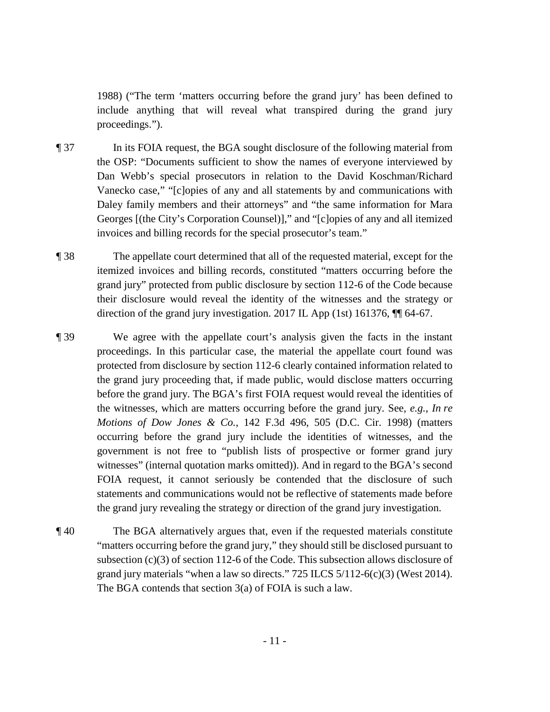1988) ("The term 'matters occurring before the grand jury' has been defined to include anything that will reveal what transpired during the grand jury proceedings.").

- ¶ 37 In its FOIA request, the BGA sought disclosure of the following material from the OSP: "Documents sufficient to show the names of everyone interviewed by Dan Webb's special prosecutors in relation to the David Koschman/Richard Vanecko case," "[c]opies of any and all statements by and communications with Daley family members and their attorneys" and "the same information for Mara Georges [(the City's Corporation Counsel)]," and "[c]opies of any and all itemized invoices and billing records for the special prosecutor's team."
- ¶ 38 The appellate court determined that all of the requested material, except for the itemized invoices and billing records, constituted "matters occurring before the grand jury" protected from public disclosure by section 112-6 of the Code because their disclosure would reveal the identity of the witnesses and the strategy or direction of the grand jury investigation. 2017 IL App (1st) 161376, ¶¶ 64-67.
- ¶ 39 We agree with the appellate court's analysis given the facts in the instant proceedings. In this particular case, the material the appellate court found was protected from disclosure by section 112-6 clearly contained information related to the grand jury proceeding that, if made public, would disclose matters occurring before the grand jury. The BGA's first FOIA request would reveal the identities of the witnesses, which are matters occurring before the grand jury. See, *e.g.*, *In re Motions of Dow Jones & Co.*, 142 F.3d 496, 505 (D.C. Cir. 1998) (matters occurring before the grand jury include the identities of witnesses, and the government is not free to "publish lists of prospective or former grand jury witnesses" (internal quotation marks omitted)). And in regard to the BGA's second FOIA request, it cannot seriously be contended that the disclosure of such statements and communications would not be reflective of statements made before the grand jury revealing the strategy or direction of the grand jury investigation.
- ¶ 40 The BGA alternatively argues that, even if the requested materials constitute "matters occurring before the grand jury," they should still be disclosed pursuant to subsection (c)(3) of section 112-6 of the Code. This subsection allows disclosure of grand jury materials "when a law so directs." 725 ILCS 5/112-6(c)(3) (West 2014). The BGA contends that section 3(a) of FOIA is such a law.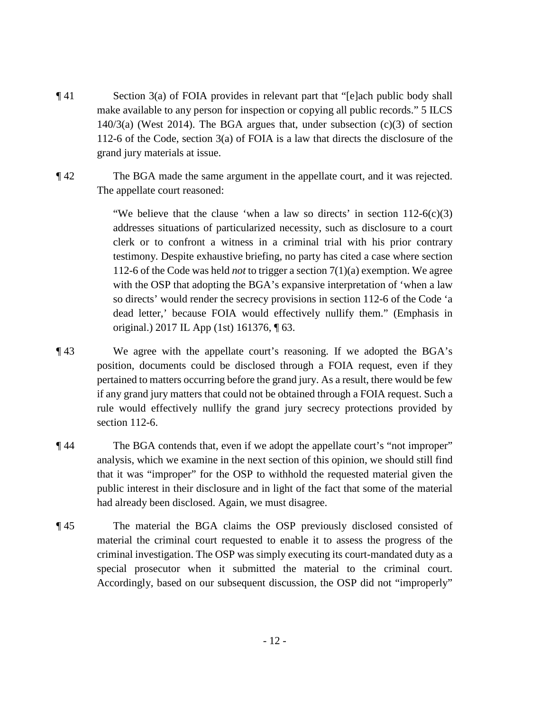- ¶ 41 Section 3(a) of FOIA provides in relevant part that "[e]ach public body shall make available to any person for inspection or copying all public records." 5 ILCS 140/3(a) (West 2014). The BGA argues that, under subsection (c)(3) of section 112-6 of the Code, section 3(a) of FOIA is a law that directs the disclosure of the grand jury materials at issue.
- ¶ 42 The BGA made the same argument in the appellate court, and it was rejected. The appellate court reasoned:

"We believe that the clause 'when a law so directs' in section  $112-6(c)(3)$ addresses situations of particularized necessity, such as disclosure to a court clerk or to confront a witness in a criminal trial with his prior contrary testimony. Despite exhaustive briefing, no party has cited a case where section 112-6 of the Code was held *not* to trigger a section 7(1)(a) exemption. We agree with the OSP that adopting the BGA's expansive interpretation of 'when a law so directs' would render the secrecy provisions in section 112-6 of the Code 'a dead letter,' because FOIA would effectively nullify them." (Emphasis in original.) 2017 IL App (1st) 161376, ¶ 63.

- ¶ 43 We agree with the appellate court's reasoning. If we adopted the BGA's position, documents could be disclosed through a FOIA request, even if they pertained to matters occurring before the grand jury. As a result, there would be few if any grand jury matters that could not be obtained through a FOIA request. Such a rule would effectively nullify the grand jury secrecy protections provided by section 112-6.
- ¶ 44 The BGA contends that, even if we adopt the appellate court's "not improper" analysis, which we examine in the next section of this opinion, we should still find that it was "improper" for the OSP to withhold the requested material given the public interest in their disclosure and in light of the fact that some of the material had already been disclosed. Again, we must disagree.
- ¶ 45 The material the BGA claims the OSP previously disclosed consisted of material the criminal court requested to enable it to assess the progress of the criminal investigation. The OSP was simply executing its court-mandated duty as a special prosecutor when it submitted the material to the criminal court. Accordingly, based on our subsequent discussion, the OSP did not "improperly"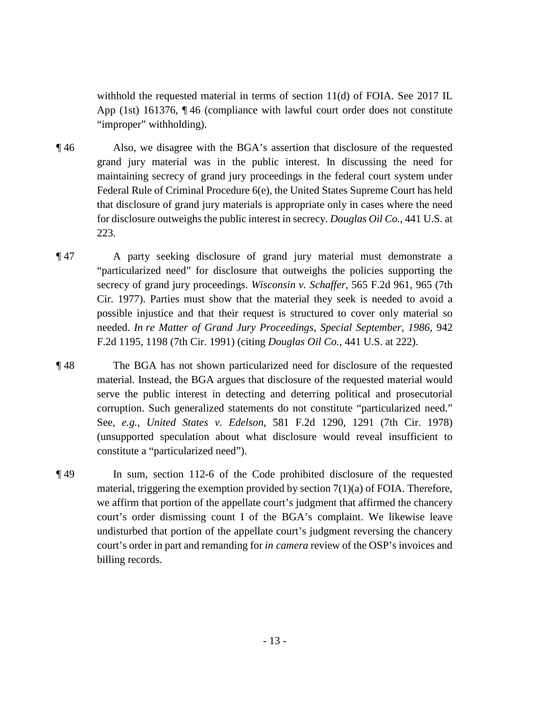withhold the requested material in terms of section 11(d) of FOIA. See 2017 IL App (1st) 161376, ¶ 46 (compliance with lawful court order does not constitute "improper" withholding).

- ¶ 46 Also, we disagree with the BGA's assertion that disclosure of the requested grand jury material was in the public interest. In discussing the need for maintaining secrecy of grand jury proceedings in the federal court system under Federal Rule of Criminal Procedure 6(e), the United States Supreme Court has held that disclosure of grand jury materials is appropriate only in cases where the need for disclosure outweighs the public interest in secrecy. *Douglas Oil Co.*, 441 U.S. at 223.
- ¶ 47 A party seeking disclosure of grand jury material must demonstrate a "particularized need" for disclosure that outweighs the policies supporting the secrecy of grand jury proceedings. *Wisconsin v. Schaffer*, 565 F.2d 961, 965 (7th Cir. 1977). Parties must show that the material they seek is needed to avoid a possible injustice and that their request is structured to cover only material so needed. *In re Matter of Grand Jury Proceedings, Special September, 1986*, 942 F.2d 1195, 1198 (7th Cir. 1991) (citing *Douglas Oil Co.*, 441 U.S. at 222).
- ¶ 48 The BGA has not shown particularized need for disclosure of the requested material. Instead, the BGA argues that disclosure of the requested material would serve the public interest in detecting and deterring political and prosecutorial corruption. Such generalized statements do not constitute "particularized need." See, *e.g.*, *United States v. Edelson*, 581 F.2d 1290, 1291 (7th Cir. 1978) (unsupported speculation about what disclosure would reveal insufficient to constitute a "particularized need").
- ¶ 49 In sum, section 112-6 of the Code prohibited disclosure of the requested material, triggering the exemption provided by section  $7(1)(a)$  of FOIA. Therefore, we affirm that portion of the appellate court's judgment that affirmed the chancery court's order dismissing count I of the BGA's complaint. We likewise leave undisturbed that portion of the appellate court's judgment reversing the chancery court's order in part and remanding for *in camera* review of the OSP's invoices and billing records.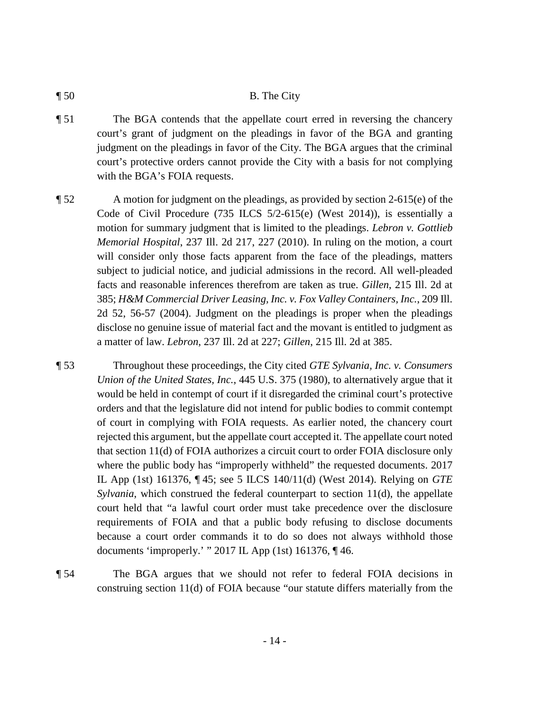#### ¶ 50 B. The City

- ¶ 51 The BGA contends that the appellate court erred in reversing the chancery court's grant of judgment on the pleadings in favor of the BGA and granting judgment on the pleadings in favor of the City. The BGA argues that the criminal court's protective orders cannot provide the City with a basis for not complying with the BGA's FOIA requests.
- ¶ 52 A motion for judgment on the pleadings, as provided by section 2-615(e) of the Code of Civil Procedure (735 ILCS 5/2-615(e) (West 2014)), is essentially a motion for summary judgment that is limited to the pleadings. *Lebron v. Gottlieb Memorial Hospital*, 237 Ill. 2d 217, 227 (2010). In ruling on the motion, a court will consider only those facts apparent from the face of the pleadings, matters subject to judicial notice, and judicial admissions in the record. All well-pleaded facts and reasonable inferences therefrom are taken as true. *Gillen*, 215 Ill. 2d at 385; *H&M Commercial Driver Leasing, Inc. v. Fox Valley Containers, Inc.*, 209 Ill. 2d 52, 56-57 (2004). Judgment on the pleadings is proper when the pleadings disclose no genuine issue of material fact and the movant is entitled to judgment as a matter of law. *Lebron*, 237 Ill. 2d at 227; *Gillen*, 215 Ill. 2d at 385.

¶ 53 Throughout these proceedings, the City cited *GTE Sylvania, Inc. v. Consumers Union of the United States, Inc.*, 445 U.S. 375 (1980), to alternatively argue that it would be held in contempt of court if it disregarded the criminal court's protective orders and that the legislature did not intend for public bodies to commit contempt of court in complying with FOIA requests. As earlier noted, the chancery court rejected this argument, but the appellate court accepted it. The appellate court noted that section 11(d) of FOIA authorizes a circuit court to order FOIA disclosure only where the public body has "improperly withheld" the requested documents. 2017 IL App (1st) 161376, ¶ 45; see 5 ILCS 140/11(d) (West 2014). Relying on *GTE Sylvania*, which construed the federal counterpart to section 11(d), the appellate court held that "a lawful court order must take precedence over the disclosure requirements of FOIA and that a public body refusing to disclose documents because a court order commands it to do so does not always withhold those documents 'improperly.' " 2017 IL App (1st) 161376, ¶ 46.

¶ 54 The BGA argues that we should not refer to federal FOIA decisions in construing section 11(d) of FOIA because "our statute differs materially from the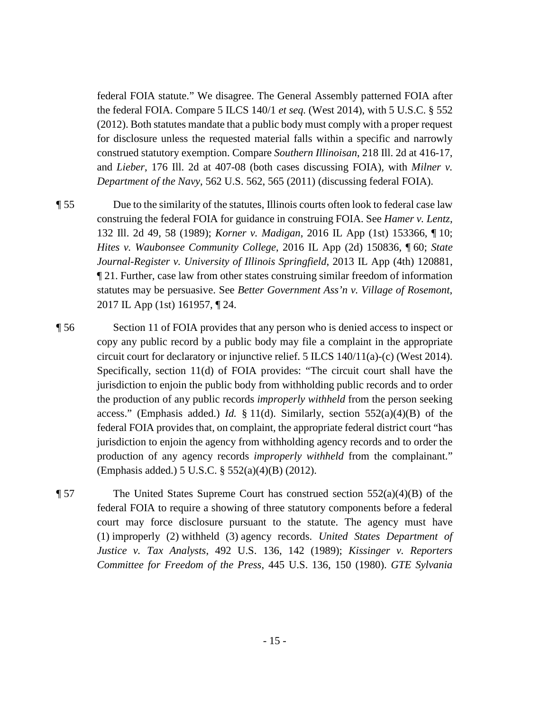federal FOIA statute." We disagree. The General Assembly patterned FOIA after the federal FOIA. Compare 5 ILCS 140/1 *et seq.* (West 2014), with 5 U.S.C. § 552 (2012). Both statutes mandate that a public body must comply with a proper request for disclosure unless the requested material falls within a specific and narrowly construed statutory exemption. Compare *Southern Illinoisan*, 218 Ill. 2d at 416-17, and *Lieber*, 176 Ill. 2d at 407-08 (both cases discussing FOIA), with *Milner v. Department of the Navy*, 562 U.S. 562, 565 (2011) (discussing federal FOIA).

¶ 55 Due to the similarity of the statutes, Illinois courts often look to federal case law construing the federal FOIA for guidance in construing FOIA. See *Hamer v. Lentz*, 132 Ill. 2d 49, 58 (1989); *Korner v. Madigan*, 2016 IL App (1st) 153366, ¶ 10; *Hites v. Waubonsee Community College*, 2016 IL App (2d) 150836, ¶ 60; *State Journal-Register v. University of Illinois Springfield*, 2013 IL App (4th) 120881, ¶ 21. Further, case law from other states construing similar freedom of information statutes may be persuasive. See *Better Government Ass'n v. Village of Rosemont*, 2017 IL App (1st) 161957, ¶ 24.

¶ 56 Section 11 of FOIA provides that any person who is denied access to inspect or copy any public record by a public body may file a complaint in the appropriate circuit court for declaratory or injunctive relief. 5 ILCS 140/11(a)-(c) (West 2014). Specifically, section 11(d) of FOIA provides: "The circuit court shall have the jurisdiction to enjoin the public body from withholding public records and to order the production of any public records *improperly withheld* from the person seeking access." (Emphasis added.) *Id.* § 11(d). Similarly, section 552(a)(4)(B) of the federal FOIA provides that, on complaint, the appropriate federal district court "has jurisdiction to enjoin the agency from withholding agency records and to order the production of any agency records *improperly withheld* from the complainant." (Emphasis added.) 5 U.S.C. § 552(a)(4)(B) (2012).

¶ 57 The United States Supreme Court has construed section 552(a)(4)(B) of the federal FOIA to require a showing of three statutory components before a federal court may force disclosure pursuant to the statute. The agency must have (1) improperly (2) withheld (3) agency records. *United States Department of Justice v. Tax Analysts*, 492 U.S. 136, 142 (1989); *Kissinger v. Reporters Committee for Freedom of the Press*, 445 U.S. 136, 150 (1980). *GTE Sylvania*

- 15 -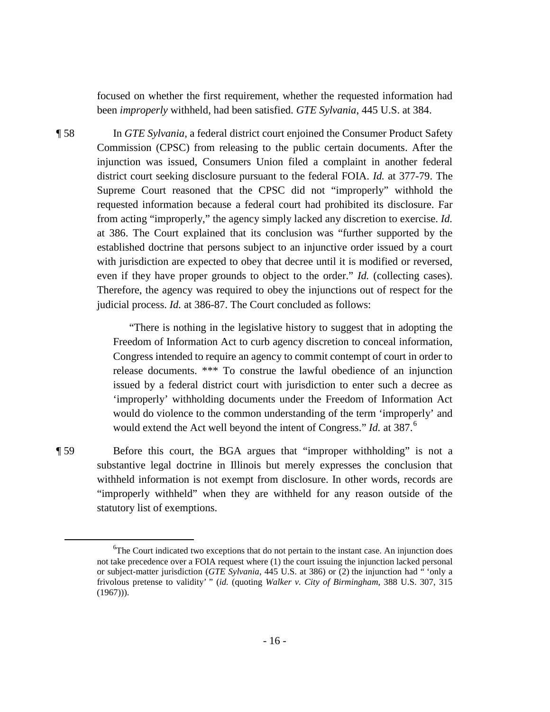focused on whether the first requirement, whether the requested information had been *improperly* withheld, had been satisfied. *GTE Sylvania*, 445 U.S. at 384.

¶ 58 In *GTE Sylvania*, a federal district court enjoined the Consumer Product Safety Commission (CPSC) from releasing to the public certain documents. After the injunction was issued, Consumers Union filed a complaint in another federal district court seeking disclosure pursuant to the federal FOIA. *Id.* at 377-79. The Supreme Court reasoned that the CPSC did not "improperly" withhold the requested information because a federal court had prohibited its disclosure. Far from acting "improperly," the agency simply lacked any discretion to exercise. *Id.* at 386. The Court explained that its conclusion was "further supported by the established doctrine that persons subject to an injunctive order issued by a court with jurisdiction are expected to obey that decree until it is modified or reversed, even if they have proper grounds to object to the order." *Id.* (collecting cases). Therefore, the agency was required to obey the injunctions out of respect for the judicial process. *Id.* at 386-87. The Court concluded as follows:

> "There is nothing in the legislative history to suggest that in adopting the Freedom of Information Act to curb agency discretion to conceal information, Congress intended to require an agency to commit contempt of court in order to release documents. \*\*\* To construe the lawful obedience of an injunction issued by a federal district court with jurisdiction to enter such a decree as 'improperly' withholding documents under the Freedom of Information Act would do violence to the common understanding of the term 'improperly' and would extend the Act well beyond the intent of Congress." *Id.* at 387.<sup>[6](#page-15-0)</sup>

¶ 59 Before this court, the BGA argues that "improper withholding" is not a substantive legal doctrine in Illinois but merely expresses the conclusion that withheld information is not exempt from disclosure. In other words, records are "improperly withheld" when they are withheld for any reason outside of the statutory list of exemptions.

<span id="page-15-0"></span> $\overline{6}$  ${}^6$ The Court indicated two exceptions that do not pertain to the instant case. An injunction does not take precedence over a FOIA request where (1) the court issuing the injunction lacked personal or subject-matter jurisdiction (*GTE Sylvania*, 445 U.S. at 386) or (2) the injunction had " 'only a frivolous pretense to validity' " (*id.* (quoting *Walker v. City of Birmingham*, 388 U.S. 307, 315  $(1967))$ .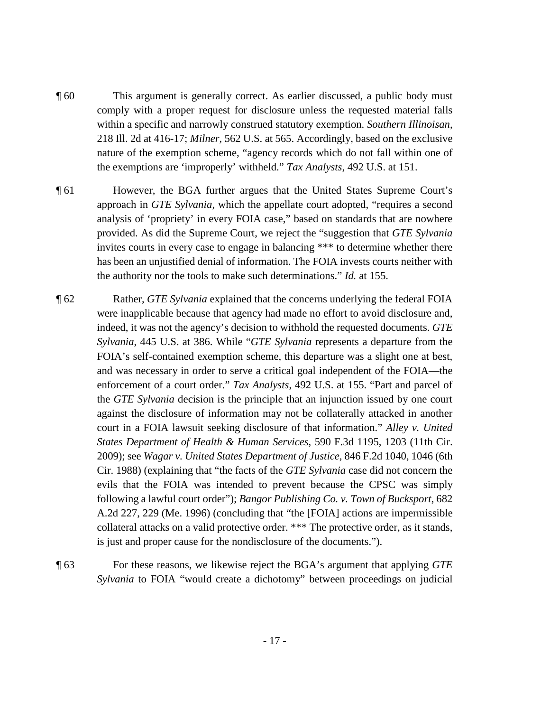- ¶ 60 This argument is generally correct. As earlier discussed, a public body must comply with a proper request for disclosure unless the requested material falls within a specific and narrowly construed statutory exemption. *Southern Illinoisan*, 218 Ill. 2d at 416-17; *Milner*, 562 U.S. at 565. Accordingly, based on the exclusive nature of the exemption scheme, "agency records which do not fall within one of the exemptions are 'improperly' withheld." *Tax Analysts*, 492 U.S. at 151.
- ¶ 61 However, the BGA further argues that the United States Supreme Court's approach in *GTE Sylvania*, which the appellate court adopted, "requires a second analysis of 'propriety' in every FOIA case," based on standards that are nowhere provided. As did the Supreme Court, we reject the "suggestion that *GTE Sylvania* invites courts in every case to engage in balancing \*\*\* to determine whether there has been an unjustified denial of information. The FOIA invests courts neither with the authority nor the tools to make such determinations." *Id.* at 155.
- ¶ 62 Rather, *GTE Sylvania* explained that the concerns underlying the federal FOIA were inapplicable because that agency had made no effort to avoid disclosure and, indeed, it was not the agency's decision to withhold the requested documents. *GTE Sylvania*, 445 U.S. at 386. While "*GTE Sylvania* represents a departure from the FOIA's self-contained exemption scheme, this departure was a slight one at best, and was necessary in order to serve a critical goal independent of the FOIA—the enforcement of a court order." *Tax Analysts*, 492 U.S. at 155. "Part and parcel of the *GTE Sylvania* decision is the principle that an injunction issued by one court against the disclosure of information may not be collaterally attacked in another court in a FOIA lawsuit seeking disclosure of that information." *Alley v. United States Department of Health & Human Services*, 590 F.3d 1195, 1203 (11th Cir. 2009); see *Wagar v. United States Department of Justice*, 846 F.2d 1040, 1046 (6th Cir. 1988) (explaining that "the facts of the *GTE Sylvania* case did not concern the evils that the FOIA was intended to prevent because the CPSC was simply following a lawful court order"); *Bangor Publishing Co. v. Town of Bucksport*, 682 A.2d 227, 229 (Me. 1996) (concluding that "the [FOIA] actions are impermissible collateral attacks on a valid protective order. \*\*\* The protective order, as it stands, is just and proper cause for the nondisclosure of the documents.").
- ¶ 63 For these reasons, we likewise reject the BGA's argument that applying *GTE Sylvania* to FOIA "would create a dichotomy" between proceedings on judicial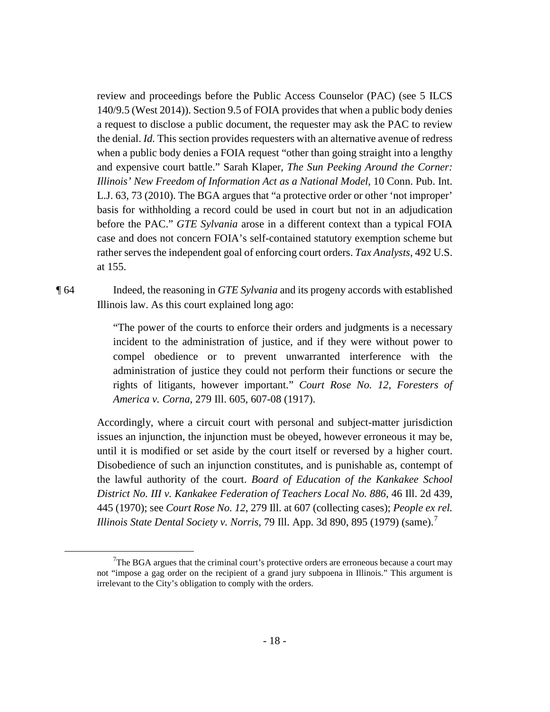review and proceedings before the Public Access Counselor (PAC) (see 5 ILCS 140/9.5 (West 2014)). Section 9.5 of FOIA provides that when a public body denies a request to disclose a public document, the requester may ask the PAC to review the denial. *Id.* This section provides requesters with an alternative avenue of redress when a public body denies a FOIA request "other than going straight into a lengthy and expensive court battle." Sarah Klaper, *The Sun Peeking Around the Corner: Illinois' New Freedom of Information Act as a National Model*, 10 Conn. Pub. Int. L.J. 63, 73 (2010). The BGA argues that "a protective order or other 'not improper' basis for withholding a record could be used in court but not in an adjudication before the PAC." *GTE Sylvania* arose in a different context than a typical FOIA case and does not concern FOIA's self-contained statutory exemption scheme but rather serves the independent goal of enforcing court orders. *Tax Analysts*, 492 U.S. at 155.

¶ 64 Indeed, the reasoning in *GTE Sylvania* and its progeny accords with established Illinois law. As this court explained long ago:

> "The power of the courts to enforce their orders and judgments is a necessary incident to the administration of justice, and if they were without power to compel obedience or to prevent unwarranted interference with the administration of justice they could not perform their functions or secure the rights of litigants, however important." *Court Rose No. 12, Foresters of America v. Corna*, 279 Ill. 605, 607-08 (1917).

Accordingly, where a circuit court with personal and subject-matter jurisdiction issues an injunction, the injunction must be obeyed, however erroneous it may be, until it is modified or set aside by the court itself or reversed by a higher court. Disobedience of such an injunction constitutes, and is punishable as, contempt of the lawful authority of the court. *Board of Education of the Kankakee School District No. III v. Kankakee Federation of Teachers Local No. 886*, 46 Ill. 2d 439, 445 (1970); see *Court Rose No. 12*, 279 Ill. at 607 (collecting cases); *People ex rel. Illinois State Dental Society v. Norris, [7](#page-17-0)9 Ill. App. 3d 890, 895 (1979) (same).*<sup>7</sup>

- 18 -

<span id="page-17-0"></span> <sup>7</sup>  $7\text{The BGA argues that the criminal court's protective orders are erroneous because a court may.}$ not "impose a gag order on the recipient of a grand jury subpoena in Illinois." This argument is irrelevant to the City's obligation to comply with the orders.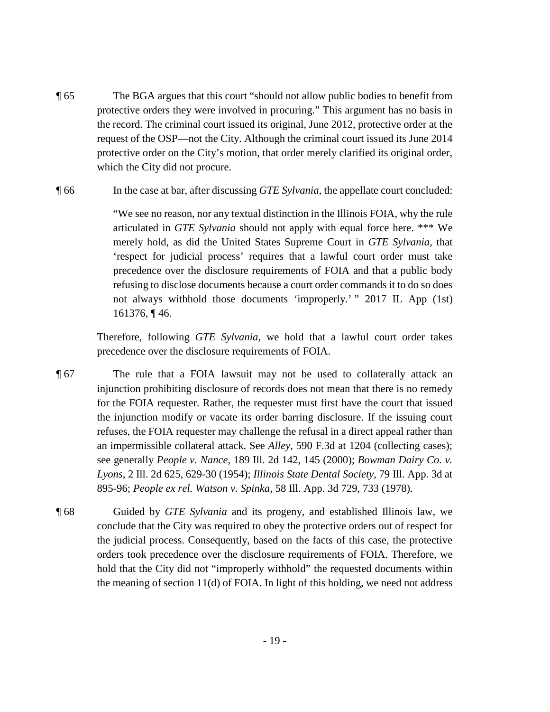- ¶ 65 The BGA argues that this court "should not allow public bodies to benefit from protective orders they were involved in procuring." This argument has no basis in the record. The criminal court issued its original, June 2012, protective order at the request of the OSP—not the City. Although the criminal court issued its June 2014 protective order on the City's motion, that order merely clarified its original order, which the City did not procure.
- ¶ 66 In the case at bar, after discussing *GTE Sylvania*, the appellate court concluded:

"We see no reason, nor any textual distinction in the Illinois FOIA, why the rule articulated in *GTE Sylvania* should not apply with equal force here. \*\*\* We merely hold, as did the United States Supreme Court in *GTE Sylvania*, that 'respect for judicial process' requires that a lawful court order must take precedence over the disclosure requirements of FOIA and that a public body refusing to disclose documents because a court order commands it to do so does not always withhold those documents 'improperly.' " 2017 IL App (1st) 161376, ¶ 46.

Therefore, following *GTE Sylvania*, we hold that a lawful court order takes precedence over the disclosure requirements of FOIA.

- ¶ 67 The rule that a FOIA lawsuit may not be used to collaterally attack an injunction prohibiting disclosure of records does not mean that there is no remedy for the FOIA requester. Rather, the requester must first have the court that issued the injunction modify or vacate its order barring disclosure. If the issuing court refuses, the FOIA requester may challenge the refusal in a direct appeal rather than an impermissible collateral attack. See *Alley*, 590 F.3d at 1204 (collecting cases); see generally *People v. Nance*, 189 Ill. 2d 142, 145 (2000); *Bowman Dairy Co. v. Lyons*, 2 Ill. 2d 625, 629-30 (1954); *Illinois State Dental Society*, 79 Ill. App. 3d at 895-96; *People ex rel. Watson v. Spinka*, 58 Ill. App. 3d 729, 733 (1978).
- ¶ 68 Guided by *GTE Sylvania* and its progeny, and established Illinois law, we conclude that the City was required to obey the protective orders out of respect for the judicial process. Consequently, based on the facts of this case, the protective orders took precedence over the disclosure requirements of FOIA. Therefore, we hold that the City did not "improperly withhold" the requested documents within the meaning of section 11(d) of FOIA. In light of this holding, we need not address